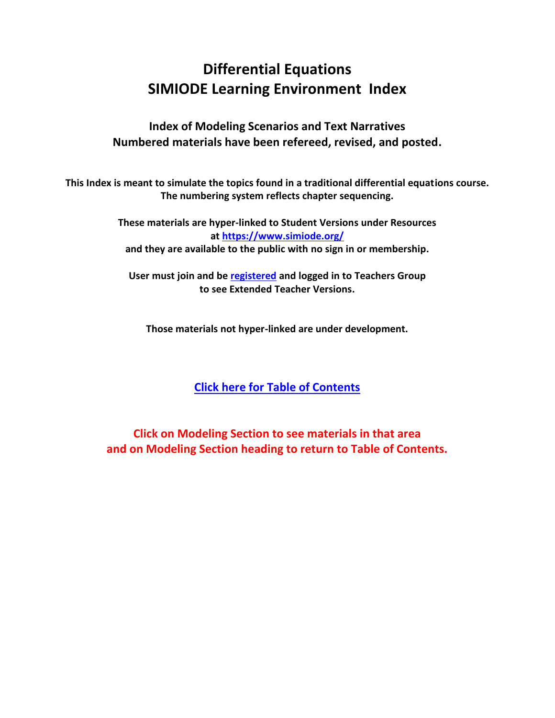# **Differential Equations SIMIODE Learning Environment Index**

**Index of Modeling Scenarios and Text Narratives Numbered materials have been refereed, revised, and posted.**

**This Index is meant to simulate the topics found in a traditional differential equations course. The numbering system reflects chapter sequencing.**

> **These materials are hyper-linked to Student Versions under Resources at<https://www.simiode.org/> and they are available to the public with no sign in or membership.**

**User must join and be [registered](https://www.simiode.org/register) and logged in to Teachers Group to see Extended Teacher Versions.**

**Those materials not hyper-linked are under development.**

## **[Click here for Table of Contents](#page-1-0)**

**Click on Modeling Section to see materials in that area and on Modeling Section heading to return to Table of Contents.**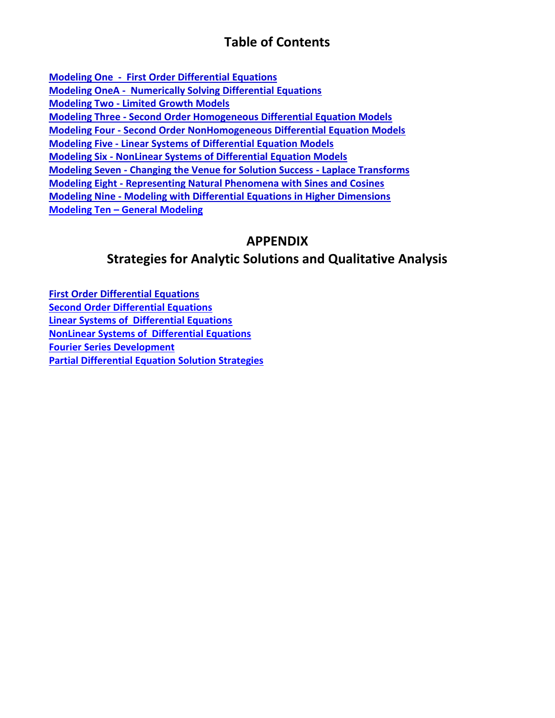## **Table of Contents**

<span id="page-1-0"></span>**[Modeling One - First Order Differential Equations](#page-2-0) [Modeling OneA - Numerically Solving Differential Equations](#page-7-0) Modeling Two - [Limited Growth Models](#page-8-0) Modeling Three - [Second Order Homogeneous Differential Equation Models](#page-9-0) Modeling Four - [Second Order NonHomogeneous Differential Equation Models](#page-12-0) Modeling Five - [Linear Systems of Differential Equation Models](#page-13-0)  Modeling Six - [NonLinear Systems of Differential Equation Models](#page-14-0) Modeling Seven - [Changing the Venue for Solution Success -](#page-16-0) Laplace Transforms Modeling Eight - [Representing Natural Phenomena with Sines and Cosines](#page-17-0) Modeling Nine - [Modeling with Differential Equations in Higher Dimensions](#page-18-0) Modeling Ten – [General Modeling](#page-18-1)**

## **APPENDIX**

## **Strategies for Analytic Solutions and Qualitative Analysis**

**[First Order Differential Equations](#page-19-0) [Second Order Differential Equations](#page-19-1) [Linear Systems of Differential Equations](#page-19-2) [NonLinear Systems of Differential Equations](#page-19-3) [Fourier Series Development](#page-19-4) [Partial Differential Equation Solution Strategies](#page-19-5)**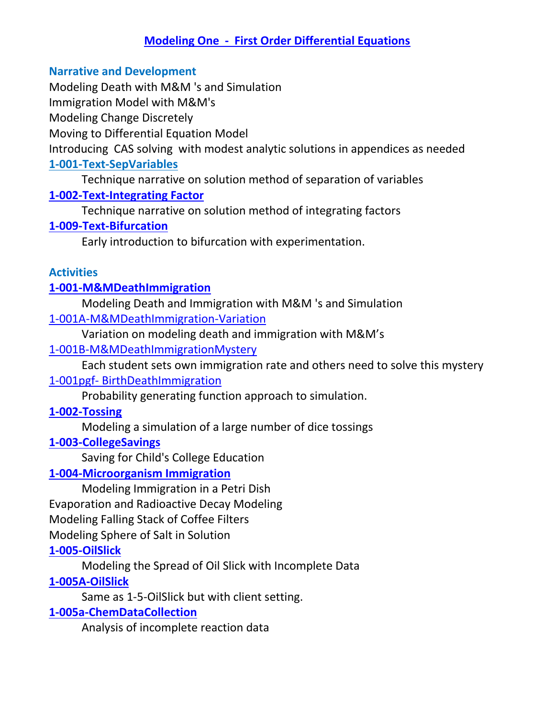## **[Modeling One - First Order Differential Equations](#page-1-0)**

#### <span id="page-2-0"></span>**Narrative and Development**

Modeling Death with M&M 's and Simulation

Immigration Model with M&M's

Modeling Change Discretely

Moving to Differential Equation Model

Introducing CAS solving with modest analytic solutions in appendices as needed

## **[1-001-Text-SepVariables](https://www.simiode.org/resources/149)**

Technique narrative on solution method of separation of variables

#### **[1-002-Text-Integrating Factor](https://www.simiode.org/resources/172)**

Technique narrative on solution method of integrating factors

## **[1-009-Text-Bifurcation](https://www.simiode.org/resources/316)**

Early introduction to bifurcation with experimentation.

#### **Activities**

## **[1-001-M&MDeathImmigration](https://www.simiode.org/resources/132)**

Modeling Death and Immigration with M&M 's and Simulation [1-001A-M&MDeathImmigration-Variation](https://www.simiode.org/resources/2313)

Variation on modeling death and immigration with M&M's

#### [1-001B-M&MDeathImmigrationMystery](https://www.simiode.org/resources/2329)

Each student sets own immigration rate and others need to solve this mystery

#### 1-001pgf- [BirthDeathImmigration](https://www.simiode.org/resources/1466)

Probability generating function approach to simulation.

#### **[1-002-Tossing](https://www.simiode.org/resources/196)**

Modeling a simulation of a large number of dice tossings

#### **[1-003-CollegeSavings](https://www.simiode.org/resources/29)**

Saving for Child's College Education

#### **[1-004-Microorganism Immigration](https://www.simiode.org/resources/180)**

Modeling Immigration in a Petri Dish Evaporation and Radioactive Decay Modeling Modeling Falling Stack of Coffee Filters Modeling Sphere of Salt in Solution

### **[1-005-OilSlick](https://www.simiode.org/resources/196)**

Modeling the Spread of Oil Slick with Incomplete Data

## **[1-005A-OilSlick](https://www.simiode.org/resources/198)**

Same as 1-5-OilSlick but with client setting.

#### **[1-005a-ChemDataCollection](https://www.simiode.org/resources/213)**

Analysis of incomplete reaction data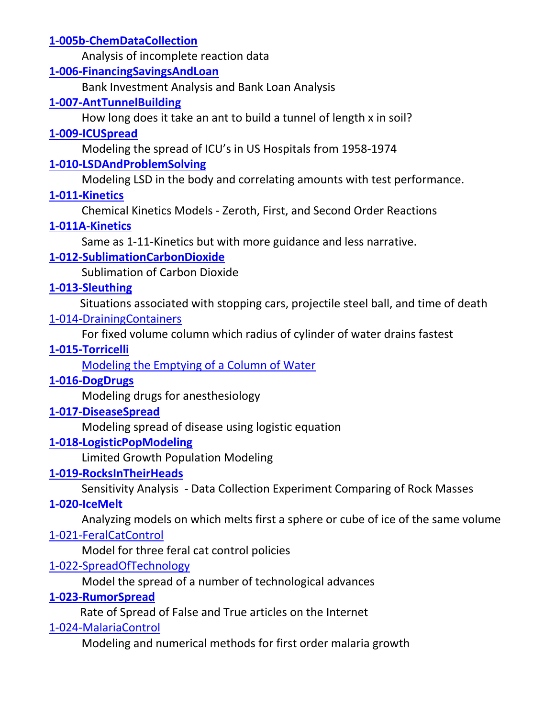## **[1-005b-ChemDataCollection](https://www.simiode.org/resources/223)**

Analysis of incomplete reaction data

#### **[1-006-FinancingSavingsAndLoan](https://www.simiode.org/resources/278)**

Bank Investment Analysis and Bank Loan Analysis

#### **[1-007-AntTunnelBuilding](https://www.simiode.org/resources/289.)**

How long does it take an ant to build a tunnel of length x in soil?

### **[1-009-ICUSpread](https://www.simiode.org/resources/357)**

Modeling the spread of ICU's in US Hospitals from 1958-1974

## **[1-010-LSDAndProblemSolving](https://www.simiode.org/resources/411.)**

Modeling LSD in the body and correlating amounts with test performance.

#### **[1-011-Kinetics](https://www.simiode.org/resources/433)**

Chemical Kinetics Models - Zeroth, First, and Second Order Reactions

#### **[1-011A-Kinetics](https://www.simiode.org/resources/862)**

Same as 1-11-Kinetics but with more guidance and less narrative.

## **[1-012-SublimationCarbonDioxide](https://www.simiode.org/resources/451.)**

Sublimation of Carbon Dioxide

## **[1-013-Sleuthing](https://www.simiode.org/resources/46)**

 Situations associated with stopping cars, projectile steel ball, and time of death [1-014-DrainingContainers](https://www.simiode.org/resources/3367)

For fixed volume column which radius of cylinder of water drains fastest

#### **[1-015-Torricelli](https://www.simiode.org/resources/488)**

[Modeling the Emptying of a Column of Water](https://www.simiode.org/resources/680)

#### **[1-016-DogDrugs](https://www.simiode.org/resources/680)**

Modeling drugs for anesthesiology

#### **[1-017-DiseaseSpread](https://www.simiode.org/resources/715)**

Modeling spread of disease using logistic equation

#### **[1-018-LogisticPopModeling](https://www.simiode.org/resources/731)**

Limited Growth Population Modeling

#### **[1-019-RocksInTheirHeads](https://www.simiode.org/resources/749)**

Sensitivity Analysis - Data Collection Experiment Comparing of Rock Masses

#### **[1-020-IceMelt](https://www.simiode.org/resources/761)**

Analyzing models on which melts first a sphere or cube of ice of the same volume

#### [1-021-FeralCatControl](https://www.simiode.org/resources/1438)

Model for three feral cat control policies

## [1-022-SpreadOfTechnology](https://www.simiode.org/resources/1298)

Model the spread of a number of technological advances

#### **[1-023-RumorSpread](https://www.simiode.org/resources/77)**

Rate of Spread of False and True articles on the Internet

#### [1-024-MalariaControl](https://www.simiode.org/resources/1750)

Modeling and numerical methods for first order malaria growth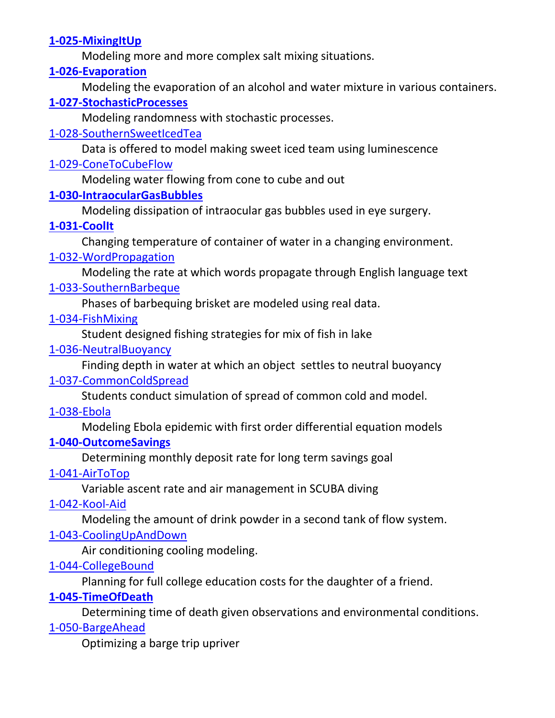## **[1-025-MixingItUp](https://www.simiode.org/resources/783)**

Modeling more and more complex salt mixing situations.

#### **[1-026-Evaporation](https://www.simiode.org/resources/797)**

Modeling the evaporation of an alcohol and water mixture in various containers.

## **[1-027-StochasticProcesses](https://www.simiode.org/resources/813)**

Modeling randomness with stochastic processes.

### [1-028-SouthernSweetIcedTea](https://www.simiode.org/resources/2262)

Data is offered to model making sweet iced team using luminescence

### [1-029-ConeToCubeFlow](https://www.simiode.org/resources/1581)

Modeling water flowing from cone to cube and out

## **[1-030-IntraocularGasBubbles](https://www.simiode.org/resources/346)**

Modeling dissipation of intraocular gas bubbles used in eye surgery.

## **[1-031-CoolIt](https://www.simiode.org/resources/372)**

Changing temperature of container of water in a changing environment.

## [1-032-WordPropagation](https://www.simiode.org/resources/1677)

Modeling the rate at which words propagate through English language text

## [1-033-SouthernBarbeque](https://www.simiode.org/resources/2241)

Phases of barbequing brisket are modeled using real data.

## [1-034-FishMixing](https://www.simiode.org/resources/1411)

Student designed fishing strategies for mix of fish in lake

## [1-036-NeutralBuoyancy](https://www.simiode.org/resources/neutbuoy)

Finding depth in water at which an object settles to neutral buoyancy

## [1-037-CommonColdSpread](https://www.simiode.org/resources/3171)

Students conduct simulation of spread of common cold and model.

#### [1-038-Ebola](https://www.simiode.org/resources/2721)

Modeling Ebola epidemic with first order differential equation models

## **[1-040-OutcomeSavings](https://www.simiode.org/resources/384)**

Determining monthly deposit rate for long term savings goal

## [1-041-AirToTop](https://www.simiode.org/resources/1769)

Variable ascent rate and air management in SCUBA diving

## [1-042-Kool-Aid](https://www.simiode.org/resources/3526)

Modeling the amount of drink powder in a second tank of flow system.

## [1-043-CoolingUpAndDown](https://www.simiode.org/resources/3656)

Air conditioning cooling modeling.

## [1-044-CollegeBound](https://www.simiode.org/resources/2581)

Planning for full college education costs for the daughter of a friend.

## **[1-045-TimeOfDeath](https://www.simiode.org/resources/393)**

Determining time of death given observations and environmental conditions.

#### [1-050-BargeAhead](https://www.simiode.org/resources/1475)

Optimizing a barge trip upriver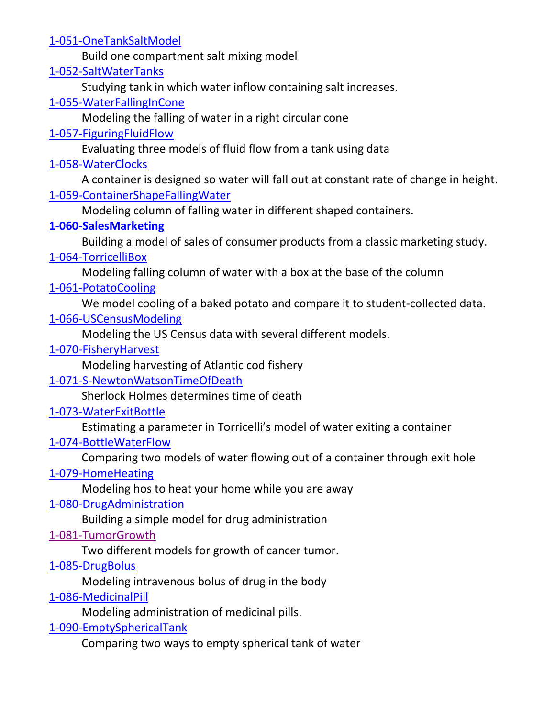[1-051-OneTankSaltModel](https://www.simiode.org/resources/2492)

Build one compartment salt mixing model

[1-052-SaltWaterTanks](https://www.simiode.org/resources/3159)

Studying tank in which water inflow containing salt increases.

[1-055-WaterFallingInCone](https://www.simiode.org/resources/1536)

Modeling the falling of water in a right circular cone

## [1-057-FiguringFluidFlow](https://www.simiode.org/resources/3642)

Evaluating three models of fluid flow from a tank using data

## [1-058-WaterClocks](https://www.simiode.org/resources/3143)

A container is designed so water will fall out at constant rate of change in height. [1-059-ContainerShapeFallingWater](https://www.simiode.org/resources/3078)

Modeling column of falling water in different shaped containers.

## **[1-060-SalesMarketing](https://www.simiode.org/resources/332)**

Building a model of sales of consumer products from a classic marketing study.

## [1-064-TorricelliBox](https://www.simiode.org/resources/3617)

Modeling falling column of water with a box at the base of the column

## [1-061-PotatoCooling](https://www.simiode.org/resources/2952)

We model cooling of a baked potato and compare it to student-collected data.

## [1-066-USCensusModeling](https://www.simiode.org/resources/4210)

Modeling the US Census data with several different models.

## [1-070-FisheryHarvest](https://www.simiode.org/resources/1318)

Modeling harvesting of Atlantic cod fishery

## [1-071-S-NewtonWatsonTimeOfDeath](https://www.simiode.org/resources/3666)

Sherlock Holmes determines time of death

## [1-073-WaterExitBottle](https://www.simiode.org/resources/3507)

Estimating a parameter in Torricelli's model of water exiting a container

## [1-074-BottleWaterFlow](https://www.simiode.org/resources/3509)

Comparing two models of water flowing out of a container through exit hole

## [1-079-HomeHeating](https://www.simiode.org/resources/4420)

Modeling hos to heat your home while you are away

## [1-080-DrugAdministration](https://www.simiode.org/resources/1489)

Building a simple model for drug administration

## [1-081-TumorGrowth](https://www.simiode.org/resources/4811)

Two different models for growth of cancer tumor.

## [1-085-DrugBolus](https://www.simiode.org/resources/2357)

Modeling intravenous bolus of drug in the body

## [1-086-MedicinalPill](https://www.simiode.org/resources/3681)

Modeling administration of medicinal pills.

## [1-090-EmptySphericalTank](https://www.simiode.org/resources/3045)

Comparing two ways to empty spherical tank of water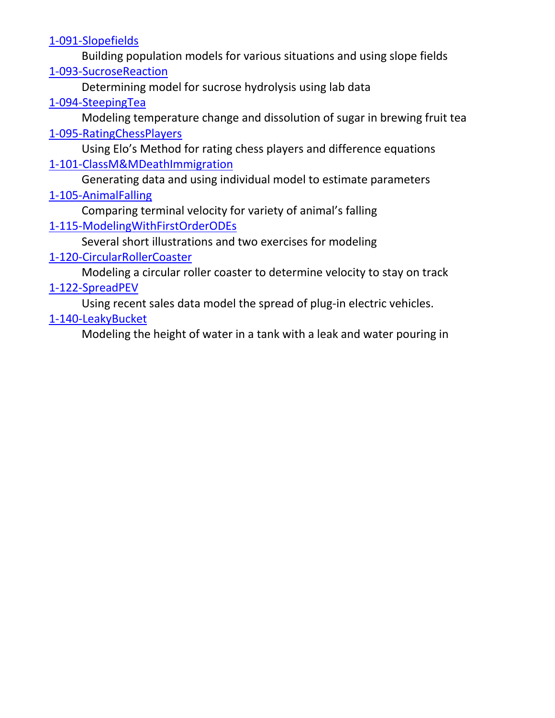[1-091-Slopefields](https://www.simiode.org/resources/3758)

Building population models for various situations and using slope fields [1-093-SucroseReaction](https://www.simiode.org/resources/2444)

Determining model for sucrose hydrolysis using lab data

## [1-094-SteepingTea](https://www.simiode.org/resources/4190)

Modeling temperature change and dissolution of sugar in brewing fruit tea [1-095-RatingChessPlayers](https://www.simiode.org/resources/2689)

Using Elo's Method for rating chess players and difference equations [1-101-ClassM&MDeathImmigration](https://www.simiode.org/resources/1273)

Generating data and using individual model to estimate parameters

## [1-105-AnimalFalling](https://www.simiode.org/resources/4510)

Comparing terminal velocity for variety of animal's falling [1-115-ModelingWithFirstOrderODEs](https://www.simiode.org/resources/3747)

Several short illustrations and two exercises for modeling

## [1-120-CircularRollerCoaster](https://www.simiode.org/resources/2882)

Modeling a circular roller coaster to determine velocity to stay on track

## [1-122-SpreadPEV](https://www.simiode.org/resources/3404)

Using recent sales data model the spread of plug-in electric vehicles.

## [1-140-LeakyBucket](https://www.simiode.org/resources/3130)

Modeling the height of water in a tank with a leak and water pouring in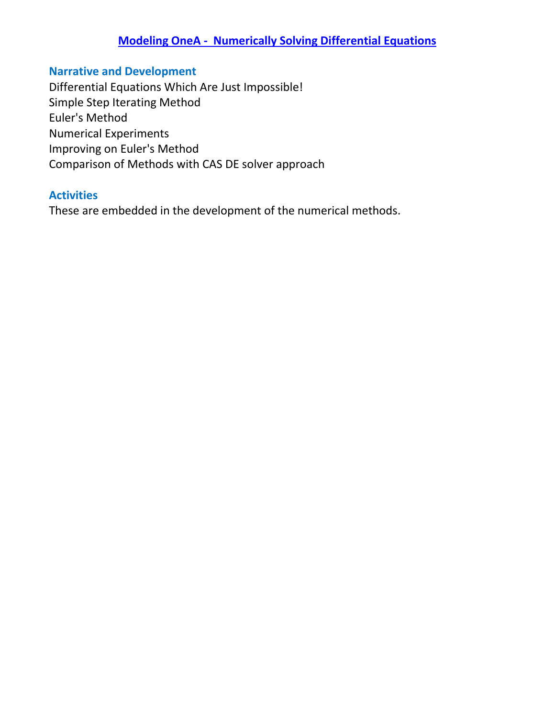## **[Modeling OneA - Numerically Solving Differential Equations](#page-1-0)**

## <span id="page-7-0"></span>**Narrative and Development**

Differential Equations Which Are Just Impossible! Simple Step Iterating Method Euler's Method Numerical Experiments Improving on Euler's Method Comparison of Methods with CAS DE solver approach

#### **Activities**

These are embedded in the development of the numerical methods.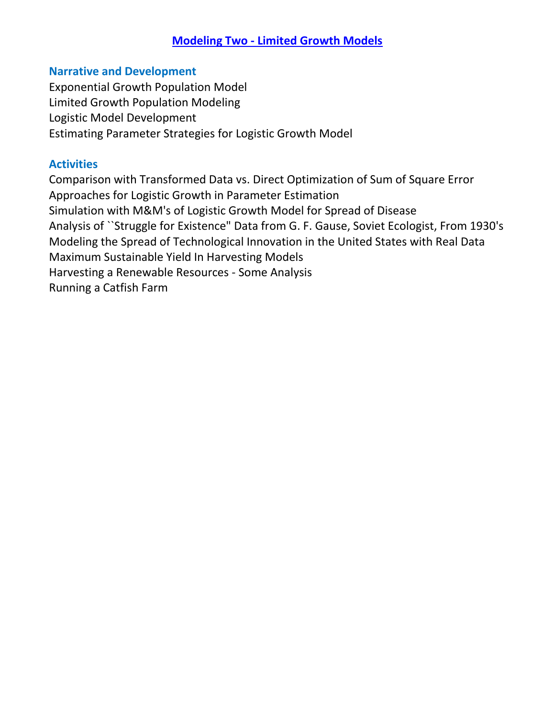## **Modeling Two - [Limited Growth Models](#page-1-0)**

#### <span id="page-8-0"></span>**Narrative and Development**

Exponential Growth Population Model Limited Growth Population Modeling Logistic Model Development Estimating Parameter Strategies for Logistic Growth Model

#### **Activities**

Comparison with Transformed Data vs. Direct Optimization of Sum of Square Error Approaches for Logistic Growth in Parameter Estimation Simulation with M&M's of Logistic Growth Model for Spread of Disease Analysis of ``Struggle for Existence" Data from G. F. Gause, Soviet Ecologist, From 1930's Modeling the Spread of Technological Innovation in the United States with Real Data Maximum Sustainable Yield In Harvesting Models Harvesting a Renewable Resources - Some Analysis Running a Catfish Farm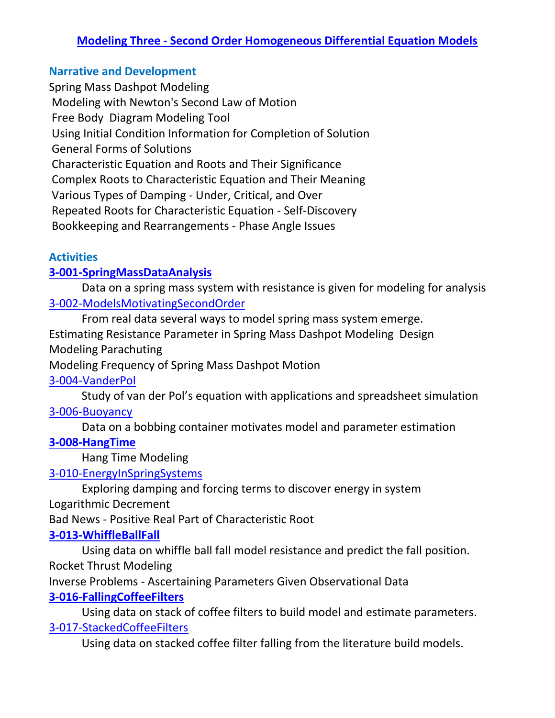## <span id="page-9-0"></span>**Narrative and Development**

Spring Mass Dashpot Modeling Modeling with Newton's Second Law of Motion Free Body Diagram Modeling Tool Using Initial Condition Information for Completion of Solution General Forms of Solutions Characteristic Equation and Roots and Their Significance Complex Roots to Characteristic Equation and Their Meaning Various Types of Damping - Under, Critical, and Over Repeated Roots for Characteristic Equation - Self-Discovery Bookkeeping and Rearrangements - Phase Angle Issues

#### **Activities**

#### **[3-001-SpringMassDataAnalysis](https://www.simiode.org/resources/844)**

Data on a spring mass system with resistance is given for modeling for analysis [3-002-ModelsMotivatingSecondOrder](https://www.simiode.org/resources/3427)

From real data several ways to model spring mass system emerge.

Estimating Resistance Parameter in Spring Mass Dashpot Modeling Design Modeling Parachuting

Modeling Frequency of Spring Mass Dashpot Motion

#### [3-004-VanderPol](https://www.simiode.org/resources/3380)

Study of van der Pol's equation with applications and spreadsheet simulation [3-006-Buoyancy](https://www.simiode.org/resources/2563)

Data on a bobbing container motivates model and parameter estimation

#### **[3-008-HangTime](https://www.simiode.org/resources/304)**

Hang Time Modeling

#### [3-010-EnergyInSpringSystems](https://www.simiode.org/resources/2195)

Exploring damping and forcing terms to discover energy in system Logarithmic Decrement

Bad News - Positive Real Part of Characteristic Root

#### **[3-013-WhiffleBallFall](https://www.simiode.org/resources/84)**

Using data on whiffle ball fall model resistance and predict the fall position. Rocket Thrust Modeling

Inverse Problems - Ascertaining Parameters Given Observational Data

#### **[3-016-FallingCoffeeFilters](https://www.simiode.org/resources/97.)**

Using data on stack of coffee filters to build model and estimate parameters. [3-017-StackedCoffeeFilters](https://www.simiode.org/resources/3348)

Using data on stacked coffee filter falling from the literature build models.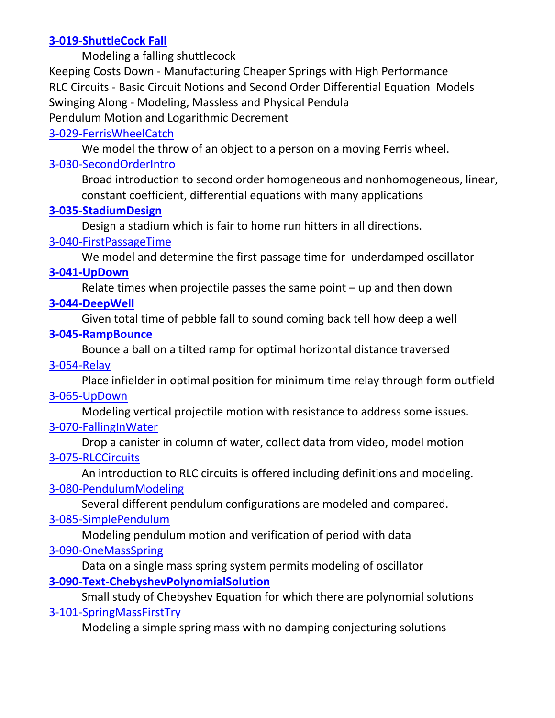## **[3-019-ShuttleCock Fall](https://www.simiode.org/resources/114)**

Modeling a falling shuttlecock

Keeping Costs Down - Manufacturing Cheaper Springs with High Performance RLC Circuits - Basic Circuit Notions and Second Order Differential Equation Models Swinging Along - Modeling, Massless and Physical Pendula Pendulum Motion and Logarithmic Decrement

## [3-029-FerrisWheelCatch](https://www.simiode.org/resources/2737)

We model the throw of an object to a person on a moving Ferris wheel.

#### [3-030-SecondOrderIntro](https://www.simiode.org/resources/1724)

Broad introduction to second order homogeneous and nonhomogeneous, linear, constant coefficient, differential equations with many applications

#### **[3-035-StadiumDesign](https://www.simiode.org/resources/1170)**

Design a stadium which is fair to home run hitters in all directions.

#### [3-040-FirstPassageTime](https://www.simiode.org/resources/3450)

We model and determine the first passage time for underdamped oscillator

#### **[3-041-UpDown](https://www.simiode.org/resources/1159)**

Relate times when projectile passes the same point  $-$  up and then down

## **[3-044-DeepWell](https://www.simiode.org/resources/1144)**

Given total time of pebble fall to sound coming back tell how deep a well

## **[3-045-RampBounce](https://www.simiode.org/resources/1130)**

Bounce a ball on a tilted ramp for optimal horizontal distance traversed

### [3-054-Relay](https://www.simiode.org/resources/2630)

Place infielder in optimal position for minimum time relay through form outfield [3-065-UpDown](https://www.simiode.org/resources/2964)

Modeling vertical projectile motion with resistance to address some issues.

## [3-070-FallingInWater](https://www.simiode.org/resources/1595)

Drop a canister in column of water, collect data from video, model motion [3-075-RLCCircuits](https://www.simiode.org/resources/3567)

An introduction to RLC circuits is offered including definitions and modeling. [3-080-PendulumModeling](https://www.simiode.org/resources/2643)

Several different pendulum configurations are modeled and compared.

## [3-085-SimplePendulum](https://www.simiode.org/resources/1787)

Modeling pendulum motion and verification of period with data

## [3-090-OneMassSpring](https://www.simiode.org/resources/1631)

Data on a single mass spring system permits modeling of oscillator

## **[3-090-Text-ChebyshevPolynomialSolution](https://www.simiode.org/resources/500)**

Small study of Chebyshev Equation for which there are polynomial solutions [3-101-SpringMassFirstTry](https://www.simiode.org/resources/2457)

Modeling a simple spring mass with no damping conjecturing solutions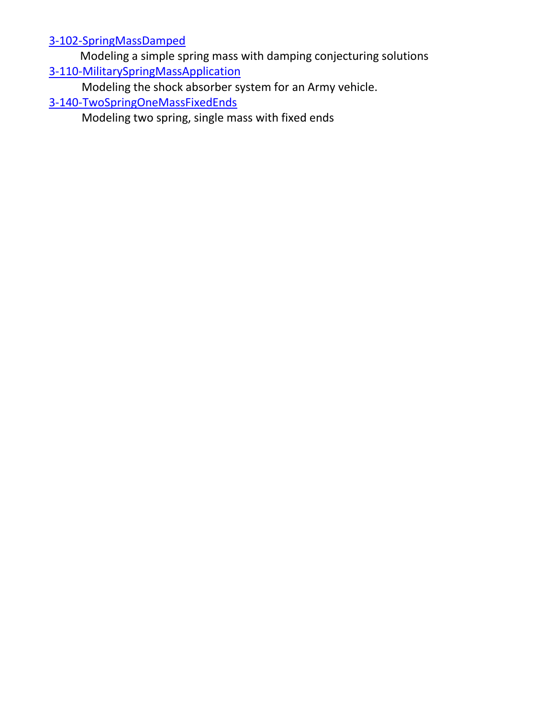[3-102-SpringMassDamped](https://www.simiode.org/resources/2471)

 Modeling a simple spring mass with damping conjecturing solutions [3-110-MilitarySpringMassApplication](https://www.simiode.org/resources/3251)

Modeling the shock absorber system for an Army vehicle.

[3-140-TwoSpringOneMassFixedEnds](https://www.simiode.org/resources/2487)

Modeling two spring, single mass with fixed ends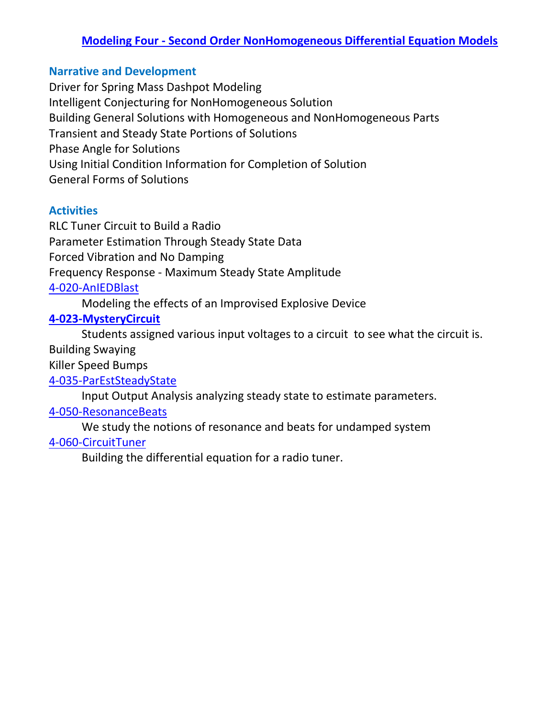## **Modeling Four - [Second Order NonHomogeneous Differential Equation Models](#page-1-0)**

#### <span id="page-12-0"></span>**Narrative and Development**

Driver for Spring Mass Dashpot Modeling Intelligent Conjecturing for NonHomogeneous Solution Building General Solutions with Homogeneous and NonHomogeneous Parts Transient and Steady State Portions of Solutions Phase Angle for Solutions Using Initial Condition Information for Completion of Solution General Forms of Solutions

#### **Activities**

RLC Tuner Circuit to Build a Radio Parameter Estimation Through Steady State Data Forced Vibration and No Damping Frequency Response - Maximum Steady State Amplitude [4-020-AnIEDBlast](https://www.simiode.org/resources/1514)

Modeling the effects of an Improvised Explosive Device

#### **[4-023-MysteryCircuit](https://www.simiode.org/resources/518)**

Students assigned various input voltages to a circuit to see what the circuit is. Building Swaying

Killer Speed Bumps

[4-035-ParEstSteadyState](https://www.simiode.org/resources/2753)

Input Output Analysis analyzing steady state to estimate parameters.

#### [4-050-ResonanceBeats](https://www.simiode.org/resources/2768)

We study the notions of resonance and beats for undamped system

#### [4-060-CircuitTuner](https://www.simiode.org/resources/2848)

Building the differential equation for a radio tuner.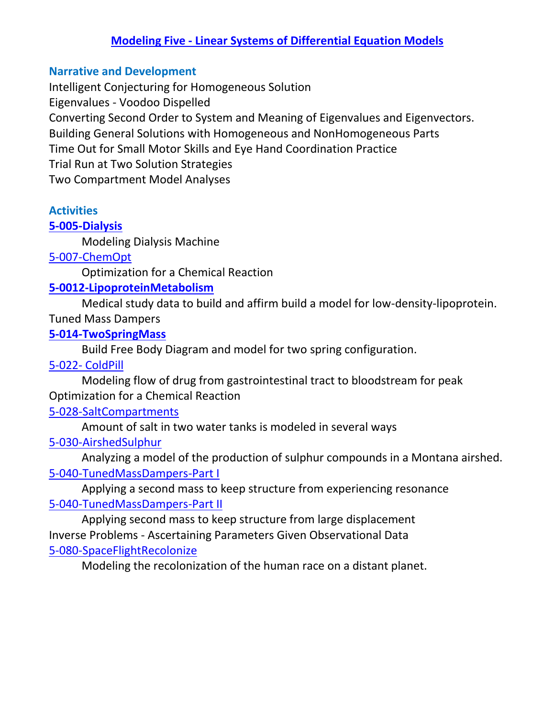## **Modeling Five - [Linear Systems of Differential Equation Models](#page-1-0)**

#### <span id="page-13-0"></span>**Narrative and Development**

Intelligent Conjecturing for Homogeneous Solution Eigenvalues - Voodoo Dispelled Converting Second Order to System and Meaning of Eigenvalues and Eigenvectors. Building General Solutions with Homogeneous and NonHomogeneous Parts Time Out for Small Motor Skills and Eye Hand Coordination Practice Trial Run at Two Solution Strategies Two Compartment Model Analyses

## **Activities**

#### **[5-005-Dialysis](https://www.simiode.org/resources/533)**

Modeling Dialysis Machine

#### [5-007-ChemOpt](https://www.simiode.org/resources/1226)

Optimization for a Chemical Reaction

#### **[5-0012-LipoproteinMetabolism](https://www.simiode.org/resources/1195)**

Medical study data to build and affirm build a model for low-density-lipoprotein.

#### Tuned Mass Dampers

#### **[5-014-TwoSpringMass](https://www.simiode.org/resources/550)**

Build Free Body Diagram and model for two spring configuration.

#### 5-022- [ColdPill](https://www.simiode.org/resources/2545)

Modeling flow of drug from gastrointestinal tract to bloodstream for peak Optimization for a Chemical Reaction

#### [5-028-SaltCompartments](https://www.simiode.org/resources/2280)

Amount of salt in two water tanks is modeled in several ways

#### [5-030-AirshedSulphur](https://www.simiode.org/resources/3706)

Analyzing a model of the production of sulphur compounds in a Montana airshed. [5-040-TunedMassDampers-Part I](https://www.simiode.org/resources/2804)

Applying a second mass to keep structure from experiencing resonance [5-040-TunedMassDampers-Part II](https://www.simiode.org/resources/2808)

Applying second mass to keep structure from large displacement Inverse Problems - Ascertaining Parameters Given Observational Data [5-080-SpaceFlightRecolonize](https://www.simiode.org/resources/3546)

Modeling the recolonization of the human race on a distant planet.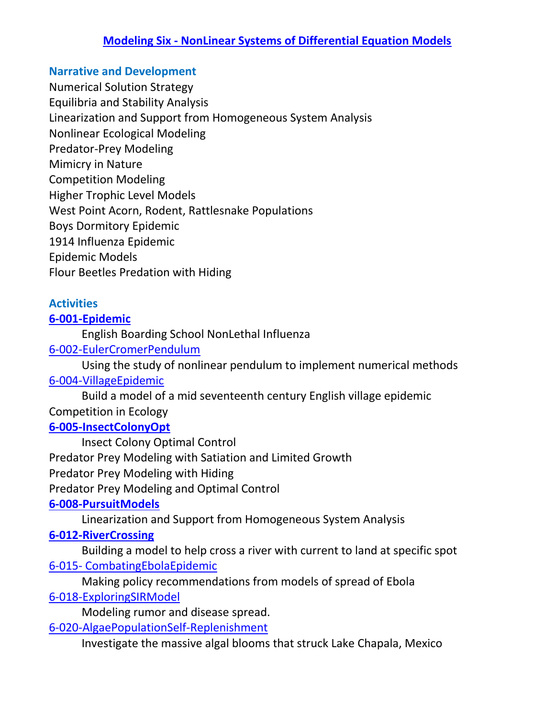## **Modeling Six - [NonLinear Systems of Differential Equation Models](#page-1-0)**

#### <span id="page-14-0"></span>**Narrative and Development**

Numerical Solution Strategy

Equilibria and Stability Analysis

Linearization and Support from Homogeneous System Analysis

Nonlinear Ecological Modeling

Predator-Prey Modeling

Mimicry in Nature

Competition Modeling

Higher Trophic Level Models

West Point Acorn, Rodent, Rattlesnake Populations

Boys Dormitory Epidemic

1914 Influenza Epidemic

Epidemic Models

Flour Beetles Predation with Hiding

## **Activities**

## **[6-001-Epidemic](https://www.simiode.org/resources/572)**

English Boarding School NonLethal Influenza

## [6-002-EulerCromerPendulum](https://www.simiode.org/resources/1656)

Using the study of nonlinear pendulum to implement numerical methods [6-004-VillageEpidemic](https://www.simiode.org/resources/2372)

Build a model of a mid seventeenth century English village epidemic Competition in Ecology

#### **[6-005-InsectColonyOpt](https://www.simiode.org/resources/58)**

Insect Colony Optimal Control Predator Prey Modeling with Satiation and Limited Growth Predator Prey Modeling with Hiding Predator Prey Modeling and Optimal Control **[6-008-PursuitModels](https://www.simiode.org/resources/594)**

Linearization and Support from Homogeneous System Analysis

## **[6-012-RiverCrossing](https://www.simiode.org/resources/605)**

Building a model to help cross a river with current to land at specific spot 6-015- [CombatingEbolaEpidemic](https://www.simiode.org/resources/1551)

Making policy recommendations from models of spread of Ebola

## [6-018-ExploringSIRModel](https://www.simiode.org/resources/4795)

Modeling rumor and disease spread.

[6-020-AlgaePopulationSelf-Replenishment](https://www.simiode.org/resources/1327)

Investigate the massive algal blooms that struck Lake Chapala, Mexico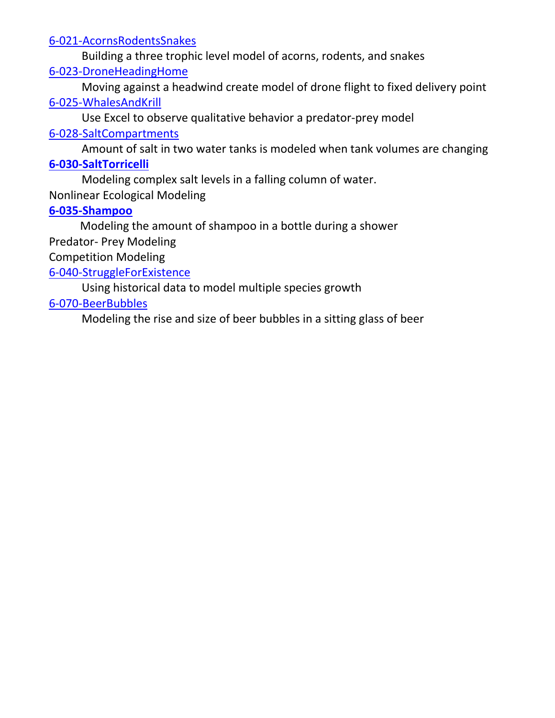#### [6-021-AcornsRodentsSnakes](https://www.simiode.org/resources/2503)

Building a three trophic level model of acorns, rodents, and snakes

#### [6-023-DroneHeadingHome](https://www.simiode.org/resources/3476)

Moving against a headwind create model of drone flight to fixed delivery point [6-025-WhalesAndKrill](https://www.simiode.org/resources/1499)

Use Excel to observe qualitative behavior a predator-prey model

### [6-028-SaltCompartments](https://www.simiode.org/resources/2293)

Amount of salt in two water tanks is modeled when tank volumes are changing

#### **[6-030-SaltTorricelli](https://www.simiode.org/resources/826)**

Modeling complex salt levels in a falling column of water.

Nonlinear Ecological Modeling

## **[6-035-Shampoo](https://www.simiode.org/resources/615)**

Modeling the amount of shampoo in a bottle during a shower

Predator- Prey Modeling

Competition Modeling

## [6-040-StruggleForExistence](https://www.simiode.org/resources/3115)

Using historical data to model multiple species growth

## [6-070-BeerBubbles](https://www.simiode.org/resources/4554)

Modeling the rise and size of beer bubbles in a sitting glass of beer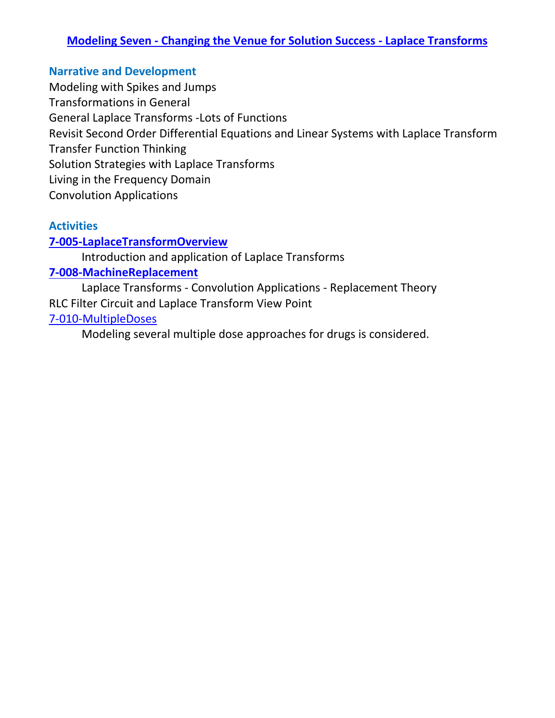## <span id="page-16-0"></span>**Modeling Seven - [Changing the Venue for Solution Success -](#page-1-0) Laplace Transforms**

#### **Narrative and Development**

Modeling with Spikes and Jumps Transformations in General General Laplace Transforms -Lots of Functions Revisit Second Order Differential Equations and Linear Systems with Laplace Transform Transfer Function Thinking Solution Strategies with Laplace Transforms Living in the Frequency Domain Convolution Applications

#### **Activities**

#### **[7-005-LaplaceTransformOverview](https://www.simiode.org/resources/878)**

Introduction and application of Laplace Transforms

#### **[7-008-MachineReplacement](https://www.simiode.org/resources/625)**

Laplace Transforms - Convolution Applications - Replacement Theory RLC Filter Circuit and Laplace Transform View Point [7-010-MultipleDoses](https://www.simiode.org/resources/2981)

Modeling several multiple dose approaches for drugs is considered.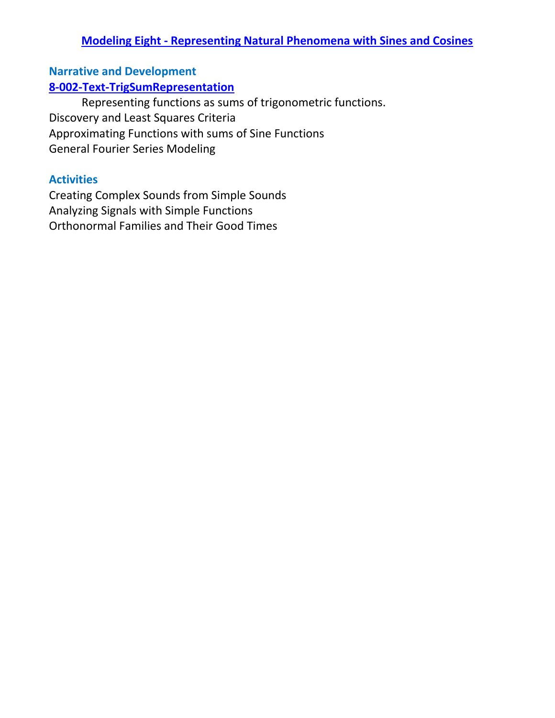#### **Modeling Eight - [Representing Natural Phenomena with Sines and Cosines](#page-1-0)**

## <span id="page-17-0"></span>**Narrative and Development [8-002-Text-TrigSumRepresentation](https://www.simiode.org/resources/659)**

Representing functions as sums of trigonometric functions. Discovery and Least Squares Criteria Approximating Functions with sums of Sine Functions General Fourier Series Modeling

#### **Activities**

Creating Complex Sounds from Simple Sounds Analyzing Signals with Simple Functions Orthonormal Families and Their Good Times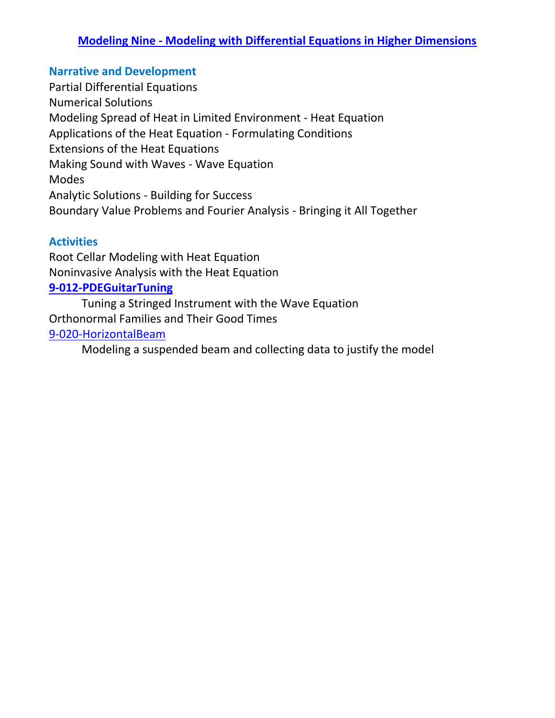## <span id="page-18-0"></span>**Modeling Nine - [Modeling with Differential Equations in Higher Dimensions](#page-1-0)**

#### **Narrative and Development**

Partial Differential Equations Numerical Solutions Modeling Spread of Heat in Limited Environment - Heat Equation Applications of the Heat Equation - Formulating Conditions Extensions of the Heat Equations Making Sound with Waves - Wave Equation Modes Analytic Solutions - Building for Success Boundary Value Problems and Fourier Analysis - Bringing it All Together

#### **Activities**

Root Cellar Modeling with Heat Equation Noninvasive Analysis with the Heat Equation **[9-012-PDEGuitarTuning](https://www.simiode.org/resources/671)** Tuning a Stringed Instrument with the Wave Equation

Orthonormal Families and Their Good Times [9-020-HorizontalBeam](https://www.simiode.org/resources/3096)

<span id="page-18-1"></span>Modeling a suspended beam and collecting data to justify the model